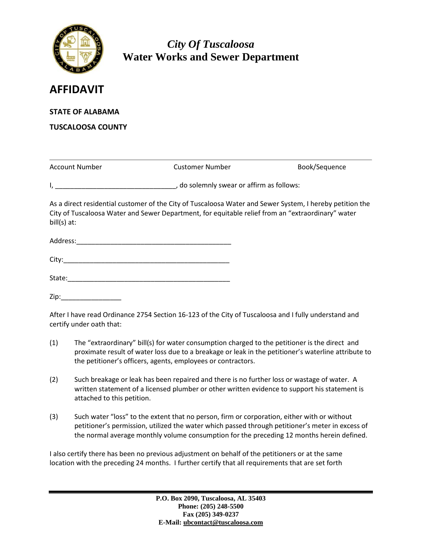

# *City Of Tuscaloosa* **Water Works and Sewer Department**

### **AFFIDAVIT**

**STATE OF ALABAMA**

**TUSCALOOSA COUNTY**

| Account Number | Customer Number                           | Book/Sequence |
|----------------|-------------------------------------------|---------------|
|                | , do solemnly swear or affirm as follows: |               |

As a direct residential customer of the City of Tuscaloosa Water and Sewer System, I hereby petition the City of Tuscaloosa Water and Sewer Department, for equitable relief from an "extraordinary" water bill(s) at:

City:

State:\_\_\_\_\_\_\_\_\_\_\_\_\_\_\_\_\_\_\_\_\_\_\_\_\_\_\_\_\_\_\_\_\_\_\_\_\_\_\_\_\_\_\_

 $Zip:$ 

After I have read Ordinance 2754 Section 16-123 of the City of Tuscaloosa and I fully understand and certify under oath that:

- (1) The "extraordinary" bill(s) for water consumption charged to the petitioner is the direct and proximate result of water loss due to a breakage or leak in the petitioner's waterline attribute to the petitioner's officers, agents, employees or contractors.
- (2) Such breakage or leak has been repaired and there is no further loss or wastage of water. A written statement of a licensed plumber or other written evidence to support his statement is attached to this petition.
- (3) Such water "loss" to the extent that no person, firm or corporation, either with or without petitioner's permission, utilized the water which passed through petitioner's meter in excess of the normal average monthly volume consumption for the preceding 12 months herein defined.

I also certify there has been no previous adjustment on behalf of the petitioners or at the same location with the preceding 24 months. I further certify that all requirements that are set forth